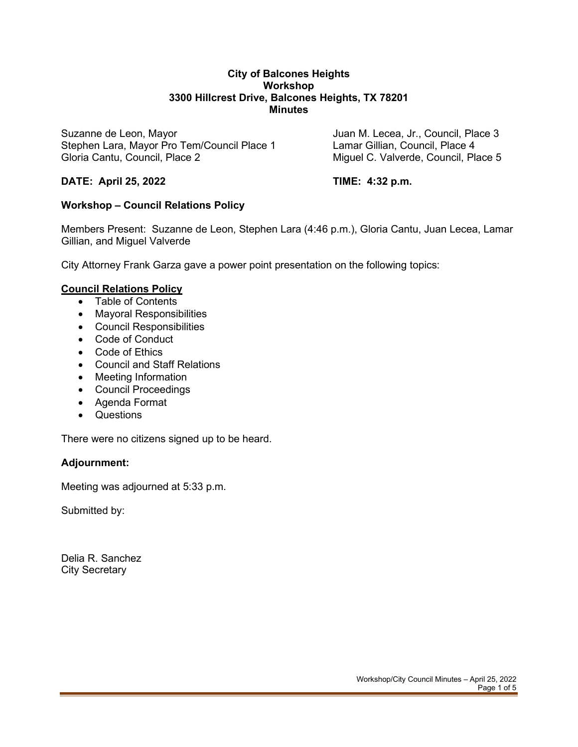#### **City of Balcones Heights Workshop 3300 Hillcrest Drive, Balcones Heights, TX 78201 Minutes**

Suzanne de Leon, Mayor Juan M. Lecea, Jr., Council, Place 3 Stephen Lara, Mayor Pro Tem/Council Place 1 Gloria Cantu, Council, Place 2 Council, and C. Valverde, Council, Place 5

## **DATE: April 25, 2022 TIME: 4:32 p.m.**

# **Workshop – Council Relations Policy**

Members Present: Suzanne de Leon, Stephen Lara (4:46 p.m.), Gloria Cantu, Juan Lecea, Lamar Gillian, and Miguel Valverde

City Attorney Frank Garza gave a power point presentation on the following topics:

#### **Council Relations Policy**

- Table of Contents
- Mayoral Responsibilities
- Council Responsibilities
- Code of Conduct
- Code of Ethics
- Council and Staff Relations
- Meeting Information
- Council Proceedings
- Agenda Format
- Questions

There were no citizens signed up to be heard.

#### **Adjournment:**

Meeting was adjourned at 5:33 p.m.

Submitted by:

Delia R. Sanchez City Secretary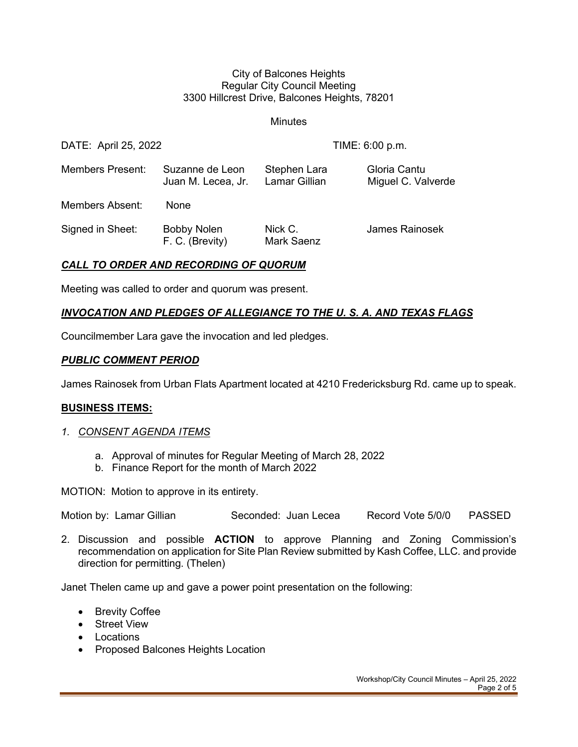#### City of Balcones Heights Regular City Council Meeting 3300 Hillcrest Drive, Balcones Heights, 78201

**Minutes** 

| DATE: April 25, 2022    |                                       | TIME: 6:00 p.m.                      |                                    |
|-------------------------|---------------------------------------|--------------------------------------|------------------------------------|
| <b>Members Present:</b> | Suzanne de Leon<br>Juan M. Lecea, Jr. | Stephen Lara<br><b>Lamar Gillian</b> | Gloria Cantu<br>Miguel C. Valverde |
| Members Absent:         | <b>None</b>                           |                                      |                                    |
| Signed in Sheet:        | <b>Bobby Nolen</b><br>F. C. (Brevity) | Nick C.<br><b>Mark Saenz</b>         | James Rainosek                     |

#### *CALL TO ORDER AND RECORDING OF QUORUM*

Meeting was called to order and quorum was present.

# *INVOCATION AND PLEDGES OF ALLEGIANCE TO THE U. S. A. AND TEXAS FLAGS*

Councilmember Lara gave the invocation and led pledges.

#### *PUBLIC COMMENT PERIOD*

James Rainosek from Urban Flats Apartment located at 4210 Fredericksburg Rd. came up to speak.

#### **BUSINESS ITEMS:**

#### *1. CONSENT AGENDA ITEMS*

- a. Approval of minutes for Regular Meeting of March 28, 2022
- b. Finance Report for the month of March 2022

MOTION: Motion to approve in its entirety.

Motion by: Lamar Gillian Seconded: Juan Lecea Record Vote 5/0/0 PASSED

2. Discussion and possible **ACTION** to approve Planning and Zoning Commission's recommendation on application for Site Plan Review submitted by Kash Coffee, LLC. and provide direction for permitting. (Thelen)

Janet Thelen came up and gave a power point presentation on the following:

- Brevity Coffee
- Street View
- Locations
- Proposed Balcones Heights Location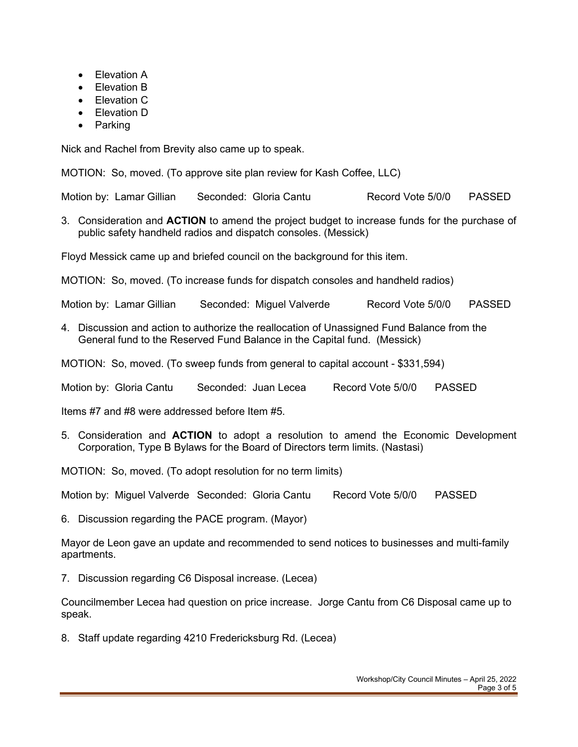- Elevation A
- Elevation B
- Elevation C
- Elevation D
- **Parking**

Nick and Rachel from Brevity also came up to speak.

MOTION: So, moved. (To approve site plan review for Kash Coffee, LLC)

Motion by: Lamar Gillian Seconded: Gloria Cantu Record Vote 5/0/0 PASSED

3. Consideration and **ACTION** to amend the project budget to increase funds for the purchase of public safety handheld radios and dispatch consoles. (Messick)

Floyd Messick came up and briefed council on the background for this item.

MOTION: So, moved. (To increase funds for dispatch consoles and handheld radios)

Motion by: Lamar Gillian Seconded: Miguel Valverde Record Vote 5/0/0 PASSED

4. Discussion and action to authorize the reallocation of Unassigned Fund Balance from the General fund to the Reserved Fund Balance in the Capital fund. (Messick)

MOTION: So, moved. (To sweep funds from general to capital account - \$331,594)

Motion by: Gloria Cantu Seconded: Juan Lecea Record Vote 5/0/0 PASSED

Items #7 and #8 were addressed before Item #5.

5. Consideration and **ACTION** to adopt a resolution to amend the Economic Development Corporation, Type B Bylaws for the Board of Directors term limits. (Nastasi)

MOTION: So, moved. (To adopt resolution for no term limits)

Motion by: Miguel Valverde Seconded: Gloria Cantu Record Vote 5/0/0 PASSED

6. Discussion regarding the PACE program. (Mayor)

Mayor de Leon gave an update and recommended to send notices to businesses and multi-family apartments.

7. Discussion regarding C6 Disposal increase. (Lecea)

Councilmember Lecea had question on price increase. Jorge Cantu from C6 Disposal came up to speak.

8. Staff update regarding 4210 Fredericksburg Rd. (Lecea)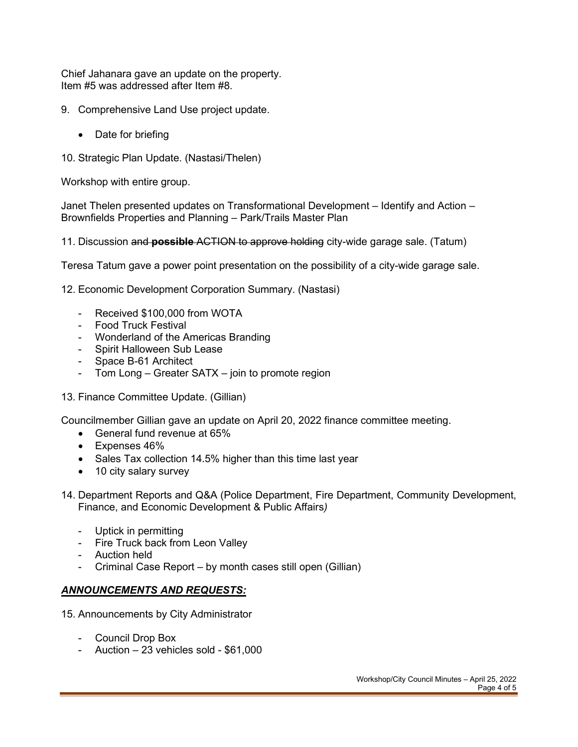Chief Jahanara gave an update on the property. Item #5 was addressed after Item #8.

- 9. Comprehensive Land Use project update.
	- Date for briefing
- 10. Strategic Plan Update. (Nastasi/Thelen)

Workshop with entire group.

Janet Thelen presented updates on Transformational Development – Identify and Action – Brownfields Properties and Planning – Park/Trails Master Plan

11. Discussion and **possible** ACTION to approve holding city-wide garage sale. (Tatum)

Teresa Tatum gave a power point presentation on the possibility of a city-wide garage sale.

12. Economic Development Corporation Summary. (Nastasi)

- Received \$100,000 from WOTA
- Food Truck Festival
- Wonderland of the Americas Branding
- Spirit Halloween Sub Lease
- Space B-61 Architect
- Tom Long Greater SATX join to promote region
- 13. Finance Committee Update. (Gillian)

Councilmember Gillian gave an update on April 20, 2022 finance committee meeting.

- General fund revenue at 65%
- Expenses 46%
- Sales Tax collection 14.5% higher than this time last year
- 10 city salary survey
- 14. Department Reports and Q&A (Police Department, Fire Department, Community Development, Finance, and Economic Development & Public Affairs*)*
	- Uptick in permitting
	- Fire Truck back from Leon Valley
	- Auction held
	- Criminal Case Report by month cases still open (Gillian)

#### *ANNOUNCEMENTS AND REQUESTS:*

- 15. Announcements by City Administrator
	- Council Drop Box
	- Auction 23 vehicles sold \$61,000